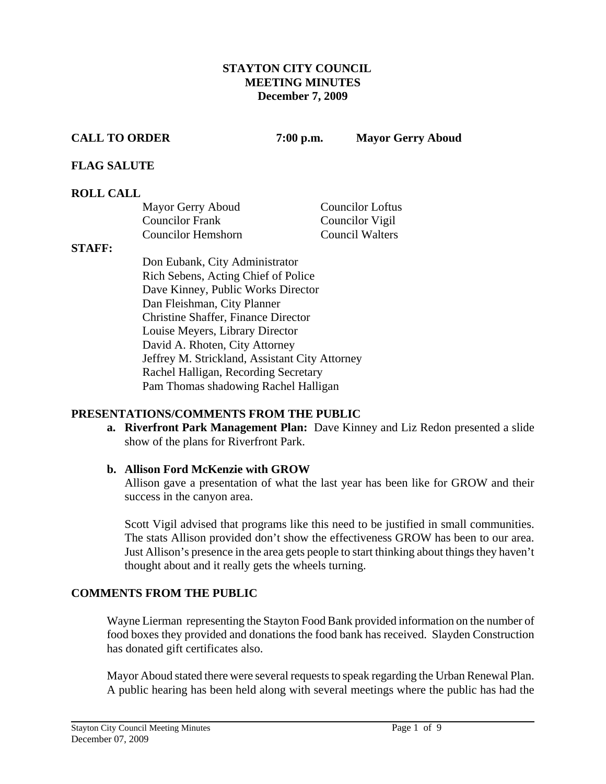## **STAYTON CITY COUNCIL MEETING MINUTES December 7, 2009**

**CALL TO ORDER 7:00 p.m. Mayor Gerry Aboud** 

# **FLAG SALUTE**

# **ROLL CALL**

| Mayor Gerry Aboud      | <b>Councilor Loftus</b> |
|------------------------|-------------------------|
| <b>Councilor Frank</b> | Councilor Vigil         |
| Councilor Hemshorn     | <b>Council Walters</b>  |

## **STAFF:**

Don Eubank, City Administrator Rich Sebens, Acting Chief of Police Dave Kinney, Public Works Director Dan Fleishman, City Planner Christine Shaffer, Finance Director Louise Meyers, Library Director David A. Rhoten, City Attorney Jeffrey M. Strickland, Assistant City Attorney Rachel Halligan, Recording Secretary Pam Thomas shadowing Rachel Halligan

# **PRESENTATIONS/COMMENTS FROM THE PUBLIC**

**a. Riverfront Park Management Plan:** Dave Kinney and Liz Redon presented a slide show of the plans for Riverfront Park.

# **b. Allison Ford McKenzie with GROW**

Allison gave a presentation of what the last year has been like for GROW and their success in the canyon area.

Scott Vigil advised that programs like this need to be justified in small communities. The stats Allison provided don't show the effectiveness GROW has been to our area. Just Allison's presence in the area gets people to start thinking about things they haven't thought about and it really gets the wheels turning.

# **COMMENTS FROM THE PUBLIC**

Wayne Lierman representing the Stayton Food Bank provided information on the number of food boxes they provided and donations the food bank has received. Slayden Construction has donated gift certificates also.

Mayor Aboud stated there were several requests to speak regarding the Urban Renewal Plan. A public hearing has been held along with several meetings where the public has had the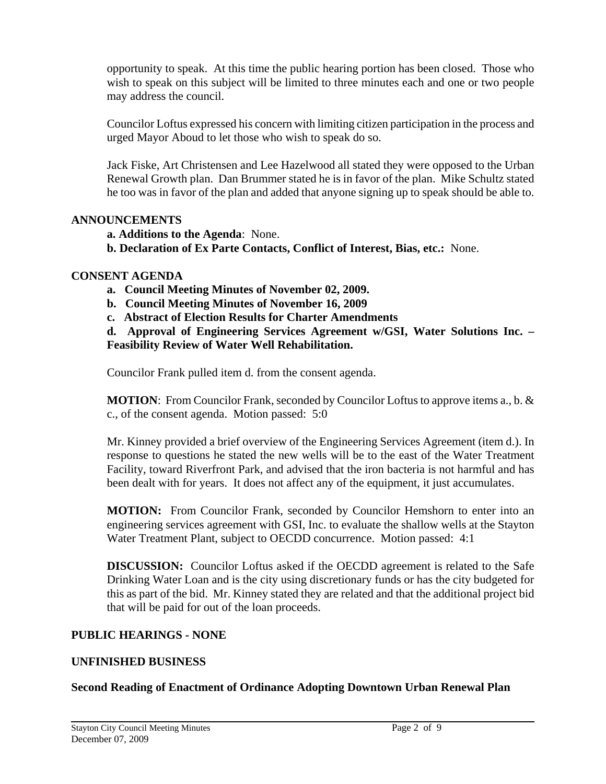opportunity to speak. At this time the public hearing portion has been closed. Those who wish to speak on this subject will be limited to three minutes each and one or two people may address the council.

Councilor Loftus expressed his concern with limiting citizen participation in the process and urged Mayor Aboud to let those who wish to speak do so.

Jack Fiske, Art Christensen and Lee Hazelwood all stated they were opposed to the Urban Renewal Growth plan. Dan Brummer stated he is in favor of the plan. Mike Schultz stated he too was in favor of the plan and added that anyone signing up to speak should be able to.

# **ANNOUNCEMENTS**

 **a. Additions to the Agenda**: None.

**b. Declaration of Ex Parte Contacts, Conflict of Interest, Bias, etc.:** None.

## **CONSENT AGENDA**

- **a. Council Meeting Minutes of November 02, 2009.**
- **b. Council Meeting Minutes of November 16, 2009**
- **c. Abstract of Election Results for Charter Amendments**

**d. Approval of Engineering Services Agreement w/GSI, Water Solutions Inc. – Feasibility Review of Water Well Rehabilitation.** 

Councilor Frank pulled item d. from the consent agenda.

**MOTION**: From Councilor Frank, seconded by Councilor Loftus to approve items a., b. & c., of the consent agenda. Motion passed: 5:0

Mr. Kinney provided a brief overview of the Engineering Services Agreement (item d.). In response to questions he stated the new wells will be to the east of the Water Treatment Facility, toward Riverfront Park, and advised that the iron bacteria is not harmful and has been dealt with for years. It does not affect any of the equipment, it just accumulates.

**MOTION:** From Councilor Frank, seconded by Councilor Hemshorn to enter into an engineering services agreement with GSI, Inc. to evaluate the shallow wells at the Stayton Water Treatment Plant, subject to OECDD concurrence. Motion passed: 4:1

**DISCUSSION:** Councilor Loftus asked if the OECDD agreement is related to the Safe Drinking Water Loan and is the city using discretionary funds or has the city budgeted for this as part of the bid. Mr. Kinney stated they are related and that the additional project bid that will be paid for out of the loan proceeds.

#### **PUBLIC HEARINGS - NONE**

# **UNFINISHED BUSINESS**

#### **Second Reading of Enactment of Ordinance Adopting Downtown Urban Renewal Plan**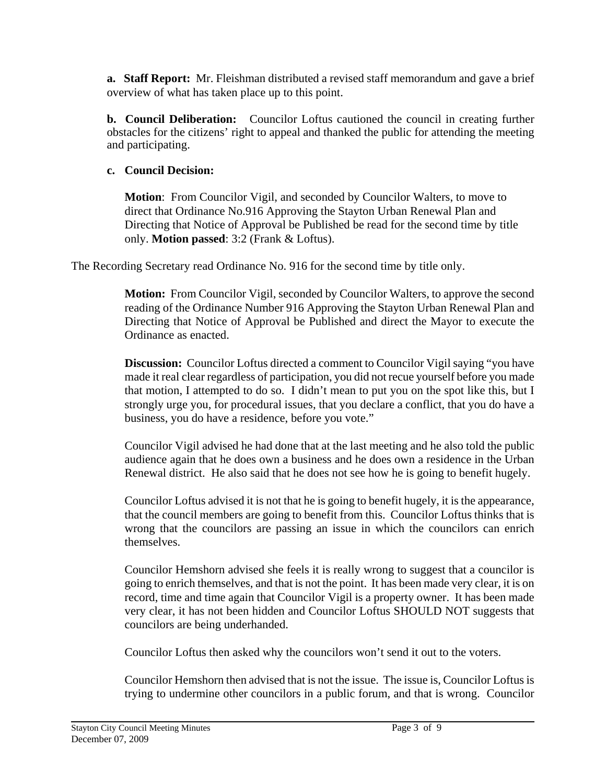**a. Staff Report:** Mr. Fleishman distributed a revised staff memorandum and gave a brief overview of what has taken place up to this point.

**b. Council Deliberation:** Councilor Loftus cautioned the council in creating further obstacles for the citizens' right to appeal and thanked the public for attending the meeting and participating.

# **c. Council Decision:**

**Motion**: From Councilor Vigil, and seconded by Councilor Walters, to move to direct that Ordinance No.916 Approving the Stayton Urban Renewal Plan and Directing that Notice of Approval be Published be read for the second time by title only. **Motion passed**: 3:2 (Frank & Loftus).

The Recording Secretary read Ordinance No. 916 for the second time by title only.

**Motion:** From Councilor Vigil, seconded by Councilor Walters, to approve the second reading of the Ordinance Number 916 Approving the Stayton Urban Renewal Plan and Directing that Notice of Approval be Published and direct the Mayor to execute the Ordinance as enacted.

**Discussion:** Councilor Loftus directed a comment to Councilor Vigil saying "you have made it real clear regardless of participation, you did not recue yourself before you made that motion, I attempted to do so. I didn't mean to put you on the spot like this, but I strongly urge you, for procedural issues, that you declare a conflict, that you do have a business, you do have a residence, before you vote."

Councilor Vigil advised he had done that at the last meeting and he also told the public audience again that he does own a business and he does own a residence in the Urban Renewal district. He also said that he does not see how he is going to benefit hugely.

Councilor Loftus advised it is not that he is going to benefit hugely, it is the appearance, that the council members are going to benefit from this. Councilor Loftus thinks that is wrong that the councilors are passing an issue in which the councilors can enrich themselves.

Councilor Hemshorn advised she feels it is really wrong to suggest that a councilor is going to enrich themselves, and that is not the point. It has been made very clear, it is on record, time and time again that Councilor Vigil is a property owner. It has been made very clear, it has not been hidden and Councilor Loftus SHOULD NOT suggests that councilors are being underhanded.

Councilor Loftus then asked why the councilors won't send it out to the voters.

Councilor Hemshorn then advised that is not the issue. The issue is, Councilor Loftus is trying to undermine other councilors in a public forum, and that is wrong. Councilor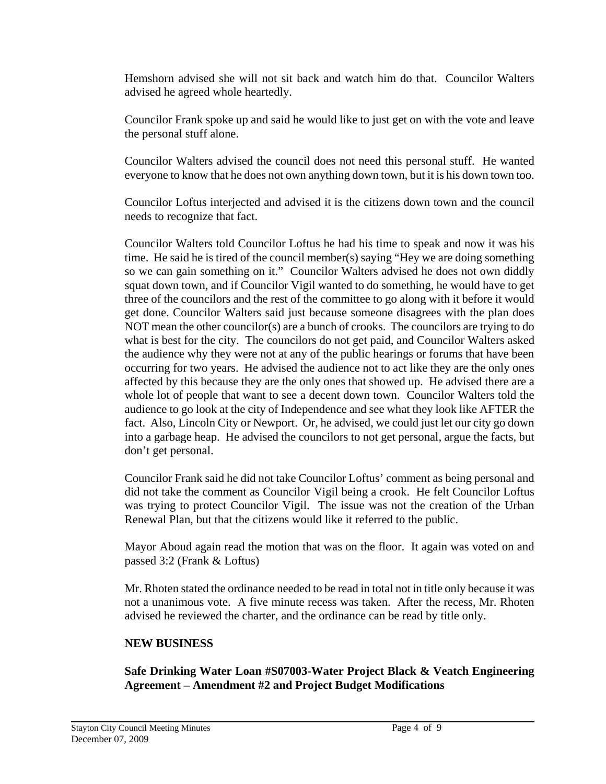Hemshorn advised she will not sit back and watch him do that. Councilor Walters advised he agreed whole heartedly.

Councilor Frank spoke up and said he would like to just get on with the vote and leave the personal stuff alone.

Councilor Walters advised the council does not need this personal stuff. He wanted everyone to know that he does not own anything down town, but it is his down town too.

Councilor Loftus interjected and advised it is the citizens down town and the council needs to recognize that fact.

Councilor Walters told Councilor Loftus he had his time to speak and now it was his time. He said he is tired of the council member(s) saying "Hey we are doing something so we can gain something on it." Councilor Walters advised he does not own diddly squat down town, and if Councilor Vigil wanted to do something, he would have to get three of the councilors and the rest of the committee to go along with it before it would get done. Councilor Walters said just because someone disagrees with the plan does NOT mean the other councilor(s) are a bunch of crooks. The councilors are trying to do what is best for the city. The councilors do not get paid, and Councilor Walters asked the audience why they were not at any of the public hearings or forums that have been occurring for two years. He advised the audience not to act like they are the only ones affected by this because they are the only ones that showed up. He advised there are a whole lot of people that want to see a decent down town. Councilor Walters told the audience to go look at the city of Independence and see what they look like AFTER the fact. Also, Lincoln City or Newport. Or, he advised, we could just let our city go down into a garbage heap. He advised the councilors to not get personal, argue the facts, but don't get personal.

Councilor Frank said he did not take Councilor Loftus' comment as being personal and did not take the comment as Councilor Vigil being a crook. He felt Councilor Loftus was trying to protect Councilor Vigil. The issue was not the creation of the Urban Renewal Plan, but that the citizens would like it referred to the public.

Mayor Aboud again read the motion that was on the floor. It again was voted on and passed 3:2 (Frank & Loftus)

Mr. Rhoten stated the ordinance needed to be read in total not in title only because it was not a unanimous vote. A five minute recess was taken. After the recess, Mr. Rhoten advised he reviewed the charter, and the ordinance can be read by title only.

# **NEW BUSINESS**

**Safe Drinking Water Loan #S07003-Water Project Black & Veatch Engineering Agreement – Amendment #2 and Project Budget Modifications**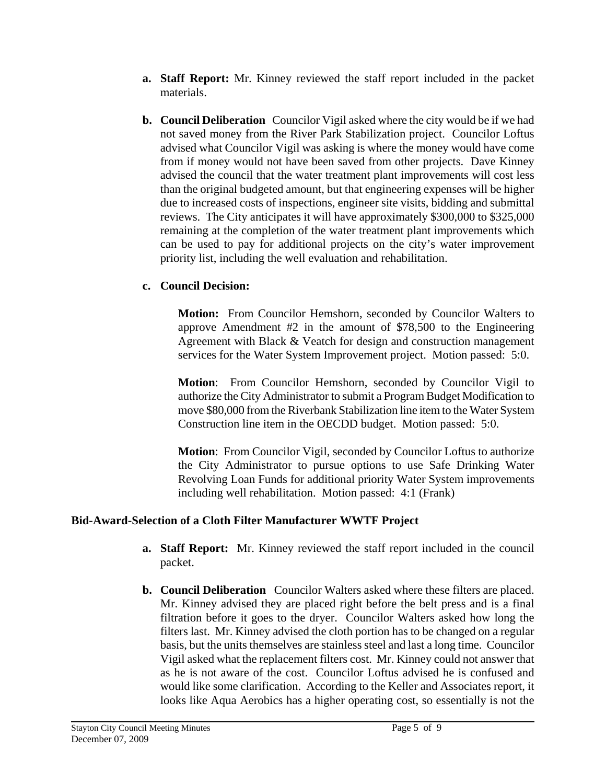- **a. Staff Report:** Mr. Kinney reviewed the staff report included in the packet materials.
- **b. Council Deliberation** Councilor Vigil asked where the city would be if we had not saved money from the River Park Stabilization project. Councilor Loftus advised what Councilor Vigil was asking is where the money would have come from if money would not have been saved from other projects. Dave Kinney advised the council that the water treatment plant improvements will cost less than the original budgeted amount, but that engineering expenses will be higher due to increased costs of inspections, engineer site visits, bidding and submittal reviews. The City anticipates it will have approximately \$300,000 to \$325,000 remaining at the completion of the water treatment plant improvements which can be used to pay for additional projects on the city's water improvement priority list, including the well evaluation and rehabilitation.

# **c. Council Decision:**

 **Motion:** From Councilor Hemshorn, seconded by Councilor Walters to approve Amendment #2 in the amount of \$78,500 to the Engineering Agreement with Black & Veatch for design and construction management services for the Water System Improvement project. Motion passed: 5:0.

**Motion**: From Councilor Hemshorn, seconded by Councilor Vigil to authorize the City Administrator to submit a Program Budget Modification to move \$80,000 from the Riverbank Stabilization line item to the Water System Construction line item in the OECDD budget. Motion passed: 5:0.

**Motion**: From Councilor Vigil, seconded by Councilor Loftus to authorize the City Administrator to pursue options to use Safe Drinking Water Revolving Loan Funds for additional priority Water System improvements including well rehabilitation. Motion passed: 4:1 (Frank)

# **Bid-Award-Selection of a Cloth Filter Manufacturer WWTF Project**

- **a. Staff Report:** Mr. Kinney reviewed the staff report included in the council packet.
- **b. Council Deliberation** Councilor Walters asked where these filters are placed. Mr. Kinney advised they are placed right before the belt press and is a final filtration before it goes to the dryer. Councilor Walters asked how long the filters last. Mr. Kinney advised the cloth portion has to be changed on a regular basis, but the units themselves are stainless steel and last a long time. Councilor Vigil asked what the replacement filters cost. Mr. Kinney could not answer that as he is not aware of the cost. Councilor Loftus advised he is confused and would like some clarification. According to the Keller and Associates report, it looks like Aqua Aerobics has a higher operating cost, so essentially is not the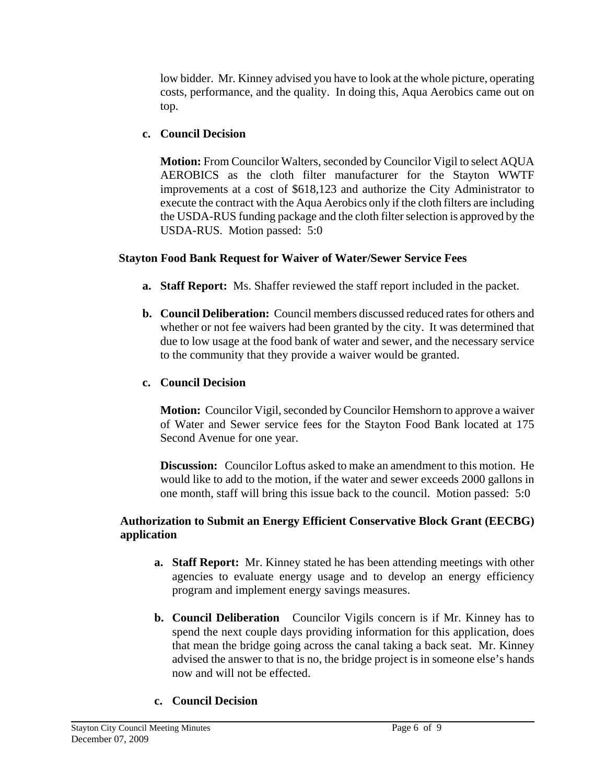low bidder. Mr. Kinney advised you have to look at the whole picture, operating costs, performance, and the quality. In doing this, Aqua Aerobics came out on top.

# **c. Council Decision**

**Motion:** From Councilor Walters, seconded by Councilor Vigil to select AQUA AEROBICS as the cloth filter manufacturer for the Stayton WWTF improvements at a cost of \$618,123 and authorize the City Administrator to execute the contract with the Aqua Aerobics only if the cloth filters are including the USDA-RUS funding package and the cloth filter selection is approved by the USDA-RUS. Motion passed: 5:0

# **Stayton Food Bank Request for Waiver of Water/Sewer Service Fees**

- **a. Staff Report:** Ms. Shaffer reviewed the staff report included in the packet.
- **b. Council Deliberation:** Council members discussed reduced rates for others and whether or not fee waivers had been granted by the city. It was determined that due to low usage at the food bank of water and sewer, and the necessary service to the community that they provide a waiver would be granted.

# **c. Council Decision**

**Motion:** Councilor Vigil, seconded by Councilor Hemshorn to approve a waiver of Water and Sewer service fees for the Stayton Food Bank located at 175 Second Avenue for one year.

**Discussion:** Councilor Loftus asked to make an amendment to this motion. He would like to add to the motion, if the water and sewer exceeds 2000 gallons in one month, staff will bring this issue back to the council. Motion passed: 5:0

# **Authorization to Submit an Energy Efficient Conservative Block Grant (EECBG) application**

- **a. Staff Report:** Mr. Kinney stated he has been attending meetings with other agencies to evaluate energy usage and to develop an energy efficiency program and implement energy savings measures.
- **b. Council Deliberation** Councilor Vigils concern is if Mr. Kinney has to spend the next couple days providing information for this application, does that mean the bridge going across the canal taking a back seat. Mr. Kinney advised the answer to that is no, the bridge project is in someone else's hands now and will not be effected.

# **c. Council Decision**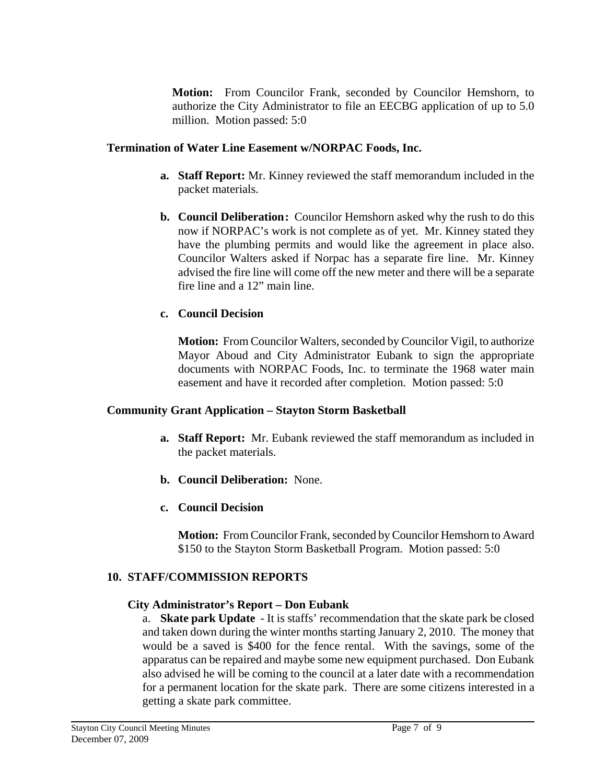**Motion:** From Councilor Frank, seconded by Councilor Hemshorn, to authorize the City Administrator to file an EECBG application of up to 5.0 million. Motion passed: 5:0

# **Termination of Water Line Easement w/NORPAC Foods, Inc.**

- **a. Staff Report:** Mr. Kinney reviewed the staff memorandum included in the packet materials.
- **b. Council Deliberation:** Councilor Hemshorn asked why the rush to do this now if NORPAC's work is not complete as of yet. Mr. Kinney stated they have the plumbing permits and would like the agreement in place also. Councilor Walters asked if Norpac has a separate fire line. Mr. Kinney advised the fire line will come off the new meter and there will be a separate fire line and a 12" main line.

# **c. Council Decision**

**Motion:** From Councilor Walters, seconded by Councilor Vigil, to authorize Mayor Aboud and City Administrator Eubank to sign the appropriate documents with NORPAC Foods, Inc. to terminate the 1968 water main easement and have it recorded after completion. Motion passed: 5:0

# **Community Grant Application – Stayton Storm Basketball**

- **a. Staff Report:** Mr. Eubank reviewed the staff memorandum as included in the packet materials.
- **b. Council Deliberation:** None.
- **c. Council Decision**

**Motion:** From Councilor Frank, seconded by Councilor Hemshorn to Award \$150 to the Stayton Storm Basketball Program. Motion passed: 5:0

# **10. STAFF/COMMISSION REPORTS**

# **City Administrator's Report – Don Eubank**

a. **Skate park Update** - It is staffs' recommendation that the skate park be closed and taken down during the winter months starting January 2, 2010. The money that would be a saved is \$400 for the fence rental. With the savings, some of the apparatus can be repaired and maybe some new equipment purchased. Don Eubank also advised he will be coming to the council at a later date with a recommendation for a permanent location for the skate park. There are some citizens interested in a getting a skate park committee.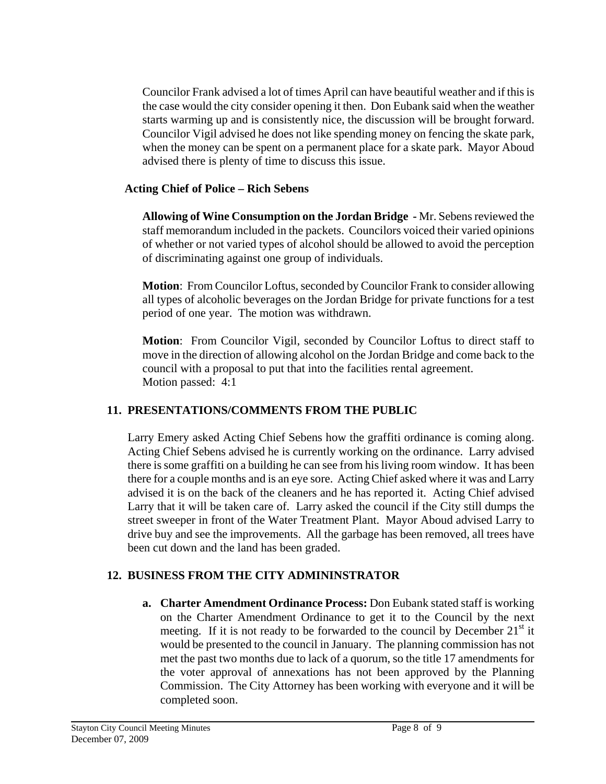Councilor Frank advised a lot of times April can have beautiful weather and if this is the case would the city consider opening it then. Don Eubank said when the weather starts warming up and is consistently nice, the discussion will be brought forward. Councilor Vigil advised he does not like spending money on fencing the skate park, when the money can be spent on a permanent place for a skate park. Mayor Aboud advised there is plenty of time to discuss this issue.

# **Acting Chief of Police – Rich Sebens**

**Allowing of Wine Consumption on the Jordan Bridge -** Mr. Sebens reviewed the staff memorandum included in the packets. Councilors voiced their varied opinions of whether or not varied types of alcohol should be allowed to avoid the perception of discriminating against one group of individuals.

**Motion**: From Councilor Loftus, seconded by Councilor Frank to consider allowing all types of alcoholic beverages on the Jordan Bridge for private functions for a test period of one year. The motion was withdrawn.

**Motion**: From Councilor Vigil, seconded by Councilor Loftus to direct staff to move in the direction of allowing alcohol on the Jordan Bridge and come back to the council with a proposal to put that into the facilities rental agreement. Motion passed: 4:1

# **11. PRESENTATIONS/COMMENTS FROM THE PUBLIC**

Larry Emery asked Acting Chief Sebens how the graffiti ordinance is coming along. Acting Chief Sebens advised he is currently working on the ordinance. Larry advised there is some graffiti on a building he can see from his living room window. It has been there for a couple months and is an eye sore. Acting Chief asked where it was and Larry advised it is on the back of the cleaners and he has reported it. Acting Chief advised Larry that it will be taken care of. Larry asked the council if the City still dumps the street sweeper in front of the Water Treatment Plant. Mayor Aboud advised Larry to drive buy and see the improvements. All the garbage has been removed, all trees have been cut down and the land has been graded.

# **12. BUSINESS FROM THE CITY ADMININSTRATOR**

**a. Charter Amendment Ordinance Process:** Don Eubank stated staff is working on the Charter Amendment Ordinance to get it to the Council by the next meeting. If it is not ready to be forwarded to the council by December  $21<sup>st</sup>$  it would be presented to the council in January. The planning commission has not met the past two months due to lack of a quorum, so the title 17 amendments for the voter approval of annexations has not been approved by the Planning Commission. The City Attorney has been working with everyone and it will be completed soon.